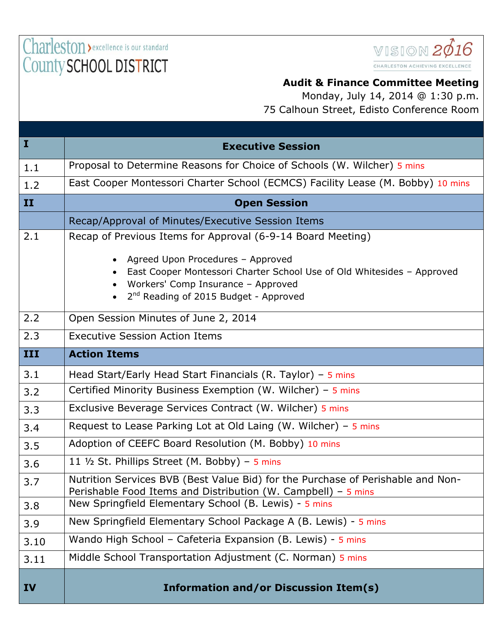Charleston > excellence is our standard County SCHOOL DISTRICT



## **Audit & Finance Committee Meeting**

Monday, July 14, 2014 @ 1:30 p.m. 75 Calhoun Street, Edisto Conference Room

| $\bf{I}$  | <b>Executive Session</b>                                                                                                                                                                               |
|-----------|--------------------------------------------------------------------------------------------------------------------------------------------------------------------------------------------------------|
| 1.1       | Proposal to Determine Reasons for Choice of Schools (W. Wilcher) 5 mins                                                                                                                                |
| 1.2       | East Cooper Montessori Charter School (ECMCS) Facility Lease (M. Bobby) 10 mins                                                                                                                        |
| II        | <b>Open Session</b>                                                                                                                                                                                    |
|           | Recap/Approval of Minutes/Executive Session Items                                                                                                                                                      |
| 2.1       | Recap of Previous Items for Approval (6-9-14 Board Meeting)                                                                                                                                            |
|           | Agreed Upon Procedures - Approved<br>East Cooper Montessori Charter School Use of Old Whitesides - Approved<br>Workers' Comp Insurance - Approved<br>2 <sup>nd</sup> Reading of 2015 Budget - Approved |
| 2.2       | Open Session Minutes of June 2, 2014                                                                                                                                                                   |
| 2.3       | <b>Executive Session Action Items</b>                                                                                                                                                                  |
| III       | <b>Action Items</b>                                                                                                                                                                                    |
| 3.1       | Head Start/Early Head Start Financials (R. Taylor) - $5$ mins                                                                                                                                          |
| 3.2       | Certified Minority Business Exemption (W. Wilcher) - 5 mins                                                                                                                                            |
| 3.3       | Exclusive Beverage Services Contract (W. Wilcher) 5 mins                                                                                                                                               |
| 3.4       | Request to Lease Parking Lot at Old Laing (W. Wilcher) - $5$ mins                                                                                                                                      |
| 3.5       | Adoption of CEEFC Board Resolution (M. Bobby) 10 mins                                                                                                                                                  |
| 3.6       | 11 1/2 St. Phillips Street (M. Bobby) - 5 mins                                                                                                                                                         |
| 3.7       | Nutrition Services BVB (Best Value Bid) for the Purchase of Perishable and Non-<br>Perishable Food Items and Distribution (W. Campbell) - 5 mins                                                       |
| 3.8       | New Springfield Elementary School (B. Lewis) - 5 mins                                                                                                                                                  |
| 3.9       | New Springfield Elementary School Package A (B. Lewis) - 5 mins                                                                                                                                        |
| 3.10      | Wando High School - Cafeteria Expansion (B. Lewis) - 5 mins                                                                                                                                            |
| 3.11      | Middle School Transportation Adjustment (C. Norman) 5 mins                                                                                                                                             |
| <b>IV</b> | <b>Information and/or Discussion Item(s)</b>                                                                                                                                                           |